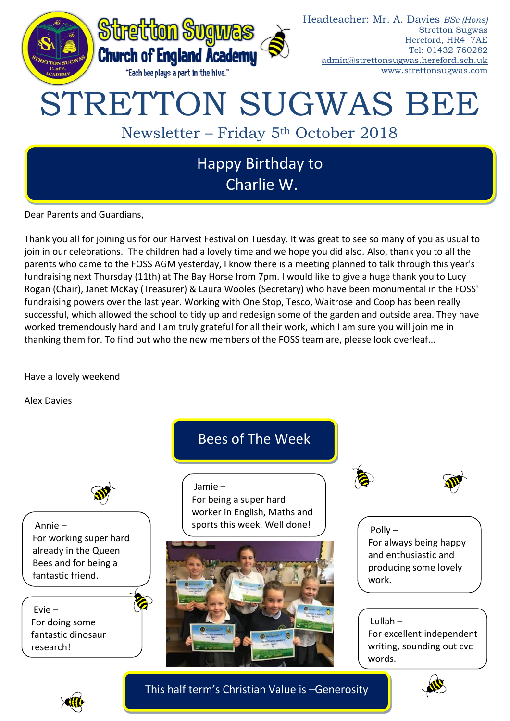

Dear Parents and Guardians,

Thank you all for joining us for our Harvest Festival on Tuesday. It was great to see so many of you as usual to join in our celebrations. The children had a lovely time and we hope you did also. Also, thank you to all the parents who came to the FOSS AGM yesterday, I know there is a meeting planned to talk through this year's fundraising next Thursday (11th) at The Bay Horse from 7pm. I would like to give a huge thank you to Lucy Rogan (Chair), Janet McKay (Treasurer) & Laura Wooles (Secretary) who have been monumental in the FOSS' fundraising powers over the last year. Working with One Stop, Tesco, Waitrose and Coop has been really successful, which allowed the school to tidy up and redesign some of the garden and outside area. They have worked tremendously hard and I am truly grateful for all their work, which I am sure you will join me in thanking them for. To find out who the new members of the FOSS team are, please look overleaf...

Have a lovely weekend

Alex Davies



This half term's Christian Value is –Generosity